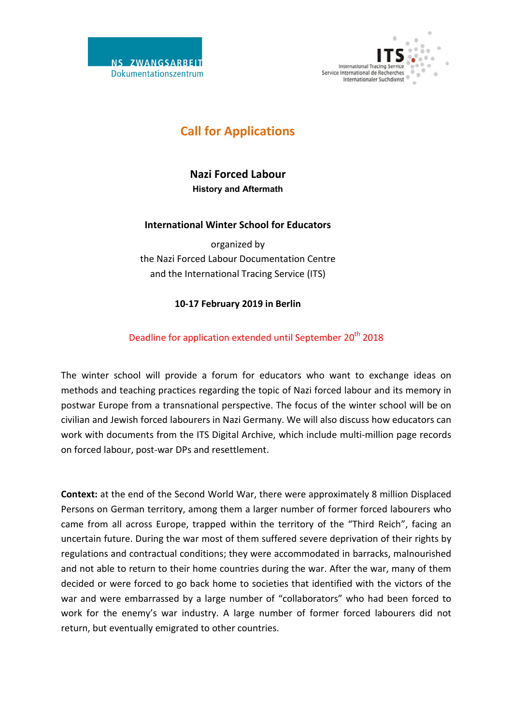



# **Call for Applications**

**Nazi Forced Labour History and Aftermath**

### **International Winter School for Educators**

organized by the Nazi Forced Labour Documentation Centre and the International Tracing Service (ITS)

## **10-17 February 2019 in Berlin**

# Deadline for application extended until September 20<sup>th</sup> 2018

The winter school will provide a forum for educators who want to exchange ideas on methods and teaching practices regarding the topic of Nazi forced labour and its memory in postwar Europe from a transnational perspective. The focus of the winter school will be on civilian and Jewish forced labourers in Nazi Germany. We will also discuss how educators can work with documents from the ITS Digital Archive, which include multi-million page records on forced labour, post-war DPs and resettlement.

**Context:** at the end of the Second World War, there were approximately 8 million Displaced Persons on German territory, among them a larger number of former forced labourers who came from all across Europe, trapped within the territory of the "Third Reich", facing an uncertain future. During the war most of them suffered severe deprivation of their rights by regulations and contractual conditions; they were accommodated in barracks, malnourished and not able to return to their home countries during the war. After the war, many of them decided or were forced to go back home to societies that identified with the victors of the war and were embarrassed by a large number of "collaborators" who had been forced to work for the enemy's war industry. A large number of former forced labourers did not return, but eventually emigrated to other countries.